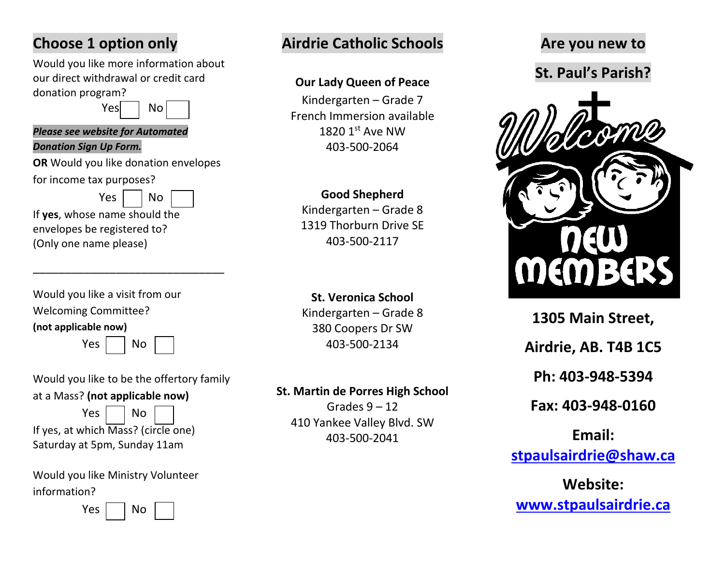# **Choose 1 option only**

Would you like more information about our direct withdrawal or credit card donation program?

Yes No

#### *Please see website for Automated*

#### *Donation Sign Up Form.*

**OR** Would you like donation envelopes

for income tax purposes?

 $Yes \mid \neg No$ 

If **yes**, whose name should the envelopes be registered to? (Only one name please)

| (not applicable now)            |
|---------------------------------|
| <b>Welcoming Committee?</b>     |
| Would you like a visit from our |

 $Yes \mid \text{No}$ 

\_\_\_\_\_\_\_\_\_\_\_\_\_\_\_\_\_\_\_\_\_\_\_\_\_\_\_\_\_\_

Would you like to be the offertory family at a Mass? **(not applicable now)**

 $Yes \mid \text{No}$ If yes, at which Mass? (circle one) Saturday at 5pm, Sunday 11am

Would you like Ministry Volunteer information?

 $Yes \mid \neg \neg No$ 

# **Airdrie Catholic Schools**

### **Our Lady Queen of Peace**

Kindergarten – Grade 7 French Immersion available 1820 1st Ave NW 403-500-2064

### **Good Shepherd**

Kindergarten – Grade 8 1319 Thorburn Drive SE 403-500-2117

**St. Veronica School**  Kindergarten – Grade 8 380 Coopers Dr SW 403-500-2134

### **St. Martin de Porres High School**

Grades  $9 - 12$ 410 Yankee Valley Blvd. SW 403-500-2041

## **Are you new to**

**St. Paul's Parish?**



**1305 Main Street, Airdrie, AB. T4B 1C5 Ph: 403-948-5394 Fax: 403-948-0160**

**Email: [stpaulsairdrie@shaw.ca](mailto:stpaulsairdrie@shaw.ca)**

**Website: [www.stpaulsairdrie.ca](http://www.stpaulsairdrie.ca/)**